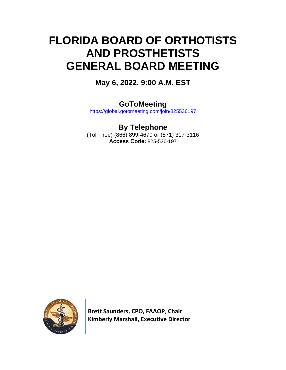# **FLORIDA BOARD OF ORTHOTISTS AND PROSTHETISTS GENERAL BOARD MEETING**

**May 6, 2022, 9:00 A.M. EST**

**GoToMeeting**

<https://global.gotomeeting.com/join/825536197>

**By Telephone** (Toll Free) (866) 899-4679 or (571) 317-3116 **Access Code:** 825-536-197



 **Brett Saunders, CPO, FAAOP**, **Chair Kimberly Marshall, Executive Director**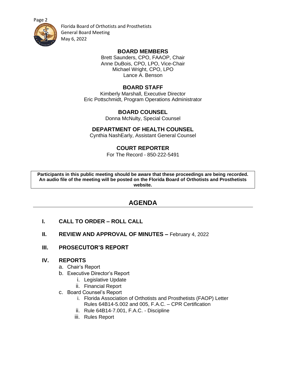[Page 2](https://floridasorthotistsprosthetists.gov/)



Florida Board of Orthotists and Prosthetists General Board Meeting May 6, 2022

#### **BOARD MEMBERS**

Brett Saunders, CPO, FAAOP, Chair Anne DuBois, CPO, LPO, Vice-Chair Michael Wright, CPO, LPO Lance A. Benson

## **BOARD STAFF**

Kimberly Marshall, Executive Director Eric Pottschmidt, Program Operations Administrator

## **BOARD COUNSEL**

Donna McNulty, Special Counsel

## **DEPARTMENT OF HEALTH COUNSEL**

Cynthia NashEarly, Assistant General Counsel

## **COURT REPORTER**

For The Record - 850-222-5491

**Participants in this public meeting should be aware that these proceedings are being recorded. An audio file of the meeting will be posted on the Florida Board of Orthotists and Prosthetists website.**

## **AGENDA**

- **I. CALL TO ORDER – ROLL CALL**
- **II. REVIEW AND APPROVAL OF MINUTES –** February 4, 2022
- **III. PROSECUTOR'S REPORT**

## **IV. REPORTS**

- a. Chair's Report
- b. Executive Director's Report
	- i. Legislative Update
	- ii. Financial Report
- c. Board Counsel's Report
	- i. Florida Association of Orthotists and Prosthetists (FAOP) Letter Rules 64B14-5.002 and 005, F.A.C. – CPR Certification
	- ii. Rule 64B14-7.001, F.A.C. Discipline
	- iii. Rules Report